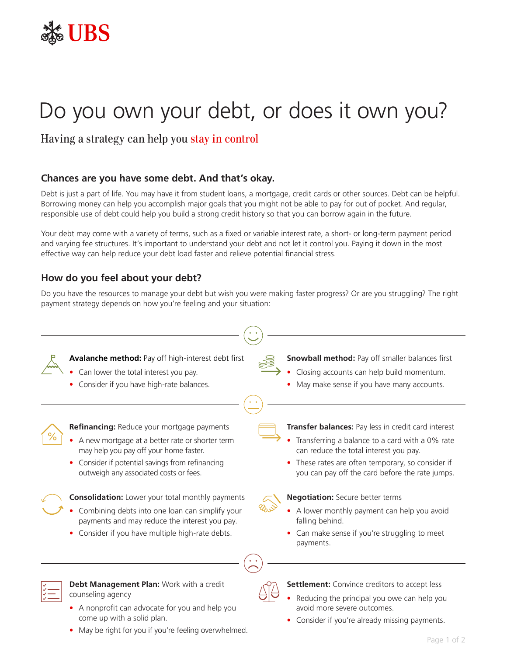

# Do you own your debt, or does it own you?

Having a strategy can help you stay in control

## **Chances are you have some debt. And that's okay.**

Debt is just a part of life. You may have it from student loans, a mortgage, credit cards or other sources. Debt can be helpful. Borrowing money can help you accomplish major goals that you might not be able to pay for out of pocket. And regular, responsible use of debt could help you build a strong credit history so that you can borrow again in the future.

Your debt may come with a variety of terms, such as a fixed or variable interest rate, a short- or long-term payment period and varying fee structures. It's important to understand your debt and not let it control you. Paying it down in the most effective way can help reduce your debt load faster and relieve potential financial stress.

## **How do you feel about your debt?**

Do you have the resources to manage your debt but wish you were making faster progress? Or are you struggling? The right payment strategy depends on how you're feeling and your situation:



- A nonprofit can advocate for you and help you come up with a solid plan.
- May be right for you if you're feeling overwhelmed.
- Consider if you're already missing payments.